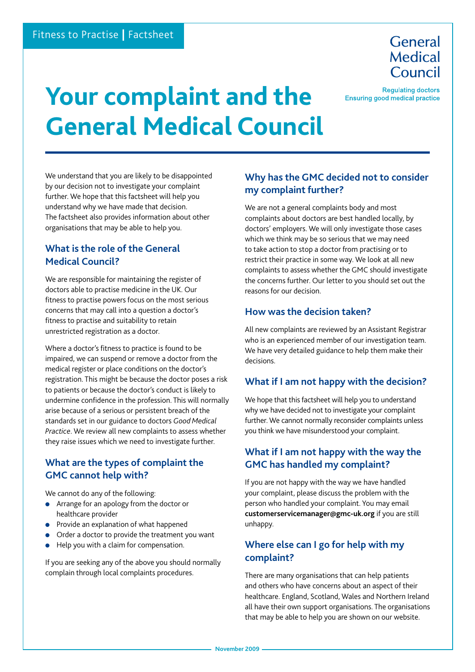General Medical Council

**Regulating doctors Ensuring good medical practice** 

# **Your complaint and the General Medical Council**

We understand that you are likely to be disappointed by our decision not to investigate your complaint further. We hope that this factsheet will help you understand why we have made that decision. The factsheet also provides information about other organisations that may be able to help you.

## **What is the role of the General Medical Council?**

We are responsible for maintaining the register of doctors able to practise medicine in the UK. Our fitness to practise powers focus on the most serious concerns that may call into a question a doctor's fitness to practise and suitability to retain unrestricted registration as a doctor.

Where a doctor's fitness to practice is found to be impaired, we can suspend or remove a doctor from the medical register or place conditions on the doctor's registration. This might be because the doctor poses a risk to patients or because the doctor's conduct is likely to undermine confidence in the profession. This will normally arise because of a serious or persistent breach of the standards set in our guidance to doctors *Good Medical Practice*. We review all new complaints to assess whether they raise issues which we need to investigate further.

## **What are the types of complaint the GMC cannot help with?**

We cannot do any of the following:

- <sup>l</sup> Arrange for an apology from the doctor or healthcare provider
- **•** Provide an explanation of what happened
- Order a doctor to provide the treatment you want
- Help you with a claim for compensation.

If you are seeking any of the above you should normally complain through local complaints procedures.

### **Why has the GMC decided not to consider my complaint further?**

We are not a general complaints body and most complaints about doctors are best handled locally, by doctors' employers. We will only investigate those cases which we think may be so serious that we may need to take action to stop a doctor from practising or to restrict their practice in some way. We look at all new complaints to assess whether the GMC should investigate the concerns further. Our letter to you should set out the reasons for our decision.

#### **How was the decision taken?**

All new complaints are reviewed by an Assistant Registrar who is an experienced member of our investigation team. We have very detailed guidance to help them make their decisions.

#### **What if I am not happy with the decision?**

We hope that this factsheet will help you to understand why we have decided not to investigate your complaint further. We cannot normally reconsider complaints unless you think we have misunderstood your complaint.

## **What if I am not happy with the way the GMC has handled my complaint?**

If you are not happy with the way we have handled your complaint, please discuss the problem with the person who handled your complaint. You may email **customerservicemanager@gmc-uk.org** if you are still unhappy.

## **Where else can I go for help with my complaint?**

There are many organisations that can help patients and others who have concerns about an aspect of their healthcare. England, Scotland, Wales and Northern Ireland all have their own support organisations. The organisations that may be able to help you are shown on our website.